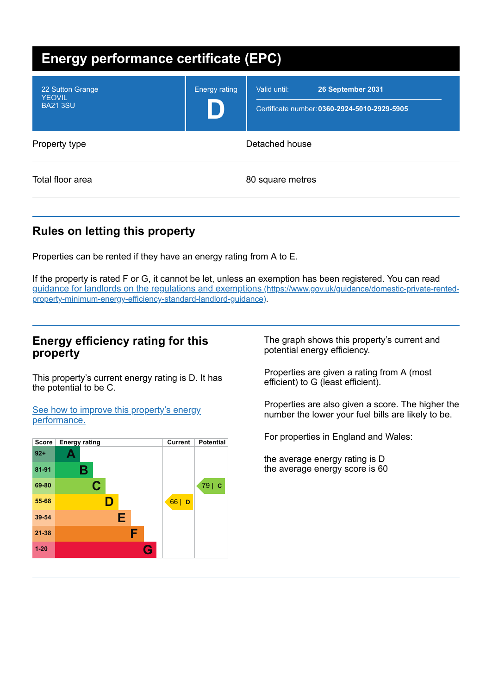| <b>Energy performance certificate (EPC)</b>          |                      |                                                                                   |
|------------------------------------------------------|----------------------|-----------------------------------------------------------------------------------|
| 22 Sutton Grange<br><b>YEOVIL</b><br><b>BA21 3SU</b> | <b>Energy rating</b> | Valid until:<br>26 September 2031<br>Certificate number: 0360-2924-5010-2929-5905 |
| Property type                                        | Detached house       |                                                                                   |
| Total floor area                                     |                      | 80 square metres                                                                  |

# **Rules on letting this property**

Properties can be rented if they have an energy rating from A to E.

If the property is rated F or G, it cannot be let, unless an exemption has been registered. You can read guidance for landlords on the regulations and exemptions (https://www.gov.uk/guidance/domestic-private-rented[property-minimum-energy-efficiency-standard-landlord-guidance\)](https://www.gov.uk/guidance/domestic-private-rented-property-minimum-energy-efficiency-standard-landlord-guidance).

### **Energy efficiency rating for this property**

This property's current energy rating is D. It has the potential to be C.

See how to improve this property's energy [performance.](#page-2-0)



The graph shows this property's current and potential energy efficiency.

Properties are given a rating from A (most efficient) to G (least efficient).

Properties are also given a score. The higher the number the lower your fuel bills are likely to be.

For properties in England and Wales:

the average energy rating is D the average energy score is 60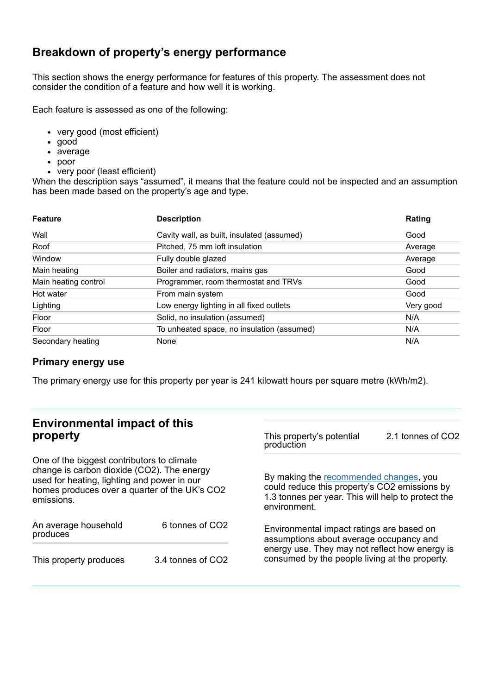## **Breakdown of property's energy performance**

This section shows the energy performance for features of this property. The assessment does not consider the condition of a feature and how well it is working.

Each feature is assessed as one of the following:

- very good (most efficient)
- good
- average
- poor
- very poor (least efficient)

When the description says "assumed", it means that the feature could not be inspected and an assumption has been made based on the property's age and type.

| <b>Feature</b>       | <b>Description</b>                         | Rating    |
|----------------------|--------------------------------------------|-----------|
| Wall                 | Cavity wall, as built, insulated (assumed) | Good      |
| Roof                 | Pitched, 75 mm loft insulation             | Average   |
| Window               | Fully double glazed                        | Average   |
| Main heating         | Boiler and radiators, mains gas            | Good      |
| Main heating control | Programmer, room thermostat and TRVs       | Good      |
| Hot water            | From main system                           | Good      |
| Lighting             | Low energy lighting in all fixed outlets   | Very good |
| Floor                | Solid, no insulation (assumed)             | N/A       |
| Floor                | To unheated space, no insulation (assumed) | N/A       |
| Secondary heating    | None                                       | N/A       |

### **Primary energy use**

The primary energy use for this property per year is 241 kilowatt hours per square metre (kWh/m2).

### **Environmental impact of this property**

One of the biggest contributors to climate change is carbon dioxide (CO2). The energy used for heating, lighting and power in our homes produces over a quarter of the UK's CO2 emissions.

| An average household<br>produces | 6 tonnes of CO <sub>2</sub> |  |
|----------------------------------|-----------------------------|--|
| This property produces           | 3.4 tonnes of CO2           |  |

This property's potential production 2.1 tonnes of CO2

By making the [recommended](#page-2-0) changes, you could reduce this property's CO2 emissions by 1.3 tonnes per year. This will help to protect the environment.

Environmental impact ratings are based on assumptions about average occupancy and energy use. They may not reflect how energy is consumed by the people living at the property.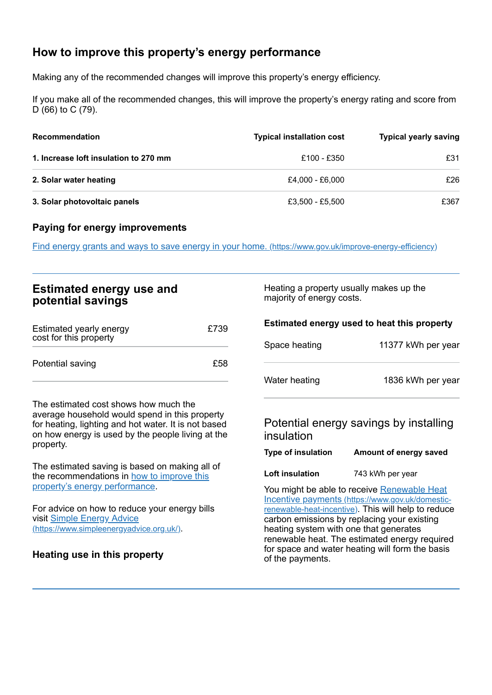# <span id="page-2-0"></span>**How to improve this property's energy performance**

Making any of the recommended changes will improve this property's energy efficiency.

If you make all of the recommended changes, this will improve the property's energy rating and score from D (66) to C (79).

| <b>Recommendation</b>                 | <b>Typical installation cost</b> | <b>Typical yearly saving</b> |
|---------------------------------------|----------------------------------|------------------------------|
| 1. Increase loft insulation to 270 mm | £100 - £350                      | £31                          |
| 2. Solar water heating                | £4.000 - £6.000                  | £26                          |
| 3. Solar photovoltaic panels          | £3,500 - £5,500                  | £367                         |

#### **Paying for energy improvements**

Find energy grants and ways to save energy in your home. [\(https://www.gov.uk/improve-energy-efficiency\)](https://www.gov.uk/improve-energy-efficiency)

| <b>Estimated energy use and</b> |  |
|---------------------------------|--|
| potential savings               |  |

| Estimated yearly energy<br>cost for this property | £739 |
|---------------------------------------------------|------|
| Potential saving                                  | £58  |

The estimated cost shows how much the average household would spend in this property for heating, lighting and hot water. It is not based on how energy is used by the people living at the property.

The estimated saving is based on making all of the [recommendations](#page-2-0) in how to improve this property's energy performance.

For advice on how to reduce your energy bills visit Simple Energy Advice [\(https://www.simpleenergyadvice.org.uk/\)](https://www.simpleenergyadvice.org.uk/).

**Heating use in this property**

Heating a property usually makes up the majority of energy costs.

| Estimated energy used to heat this property |                                                                                                                                                                                                       |
|---------------------------------------------|-------------------------------------------------------------------------------------------------------------------------------------------------------------------------------------------------------|
| Space heating                               | 11377 kWh per year                                                                                                                                                                                    |
| Water heating                               | 1836 kWh per year                                                                                                                                                                                     |
| insulation                                  | Potential energy savings by installing                                                                                                                                                                |
| Type of insulation                          | Amount of energy saved                                                                                                                                                                                |
| Loft insulation                             | 743 kWh per year                                                                                                                                                                                      |
|                                             | You might be able to receive Renewable Heat<br>Incentive payments (https://www.gov.uk/domestic-<br>renewable-heat-incentive). This will help to reduce<br>carbon emissions by replacing your existing |

heating system with one that generates renewable heat. The estimated energy required for space and water heating will form the basis of the payments.